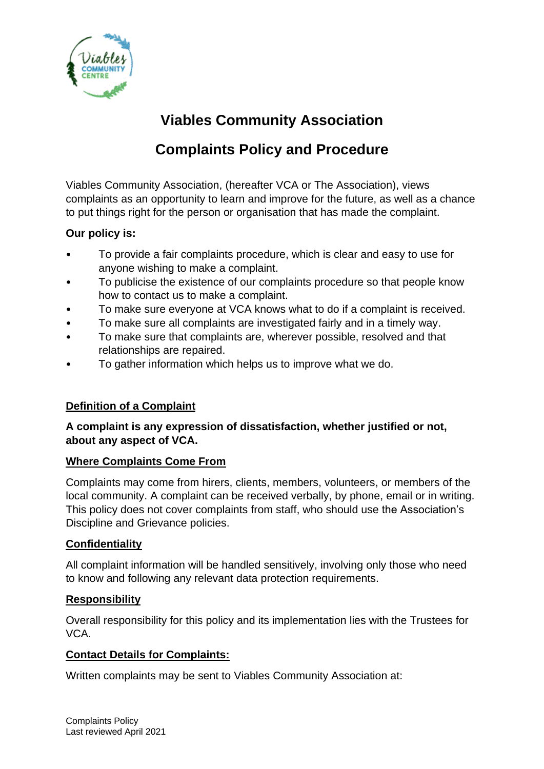

# **Viables Community Association**

# **Complaints Policy and Procedure**

Viables Community Association, (hereafter VCA or The Association), views complaints as an opportunity to learn and improve for the future, as well as a chance to put things right for the person or organisation that has made the complaint.

## **Our policy is:**

- To provide a fair complaints procedure, which is clear and easy to use for anyone wishing to make a complaint.
- To publicise the existence of our complaints procedure so that people know how to contact us to make a complaint.
- To make sure everyone at VCA knows what to do if a complaint is received.
- To make sure all complaints are investigated fairly and in a timely way.
- To make sure that complaints are, wherever possible, resolved and that relationships are repaired.
- To gather information which helps us to improve what we do.

# **Definition of a Complaint**

## **A complaint is any expression of dissatisfaction, whether justified or not, about any aspect of VCA.**

#### **Where Complaints Come From**

Complaints may come from hirers, clients, members, volunteers, or members of the local community. A complaint can be received verbally, by phone, email or in writing. This policy does not cover complaints from staff, who should use the Association's Discipline and Grievance policies.

#### **Confidentiality**

All complaint information will be handled sensitively, involving only those who need to know and following any relevant data protection requirements.

#### **Responsibility**

Overall responsibility for this policy and its implementation lies with the Trustees for VCA.

# **Contact Details for Complaints:**

Written complaints may be sent to Viables Community Association at: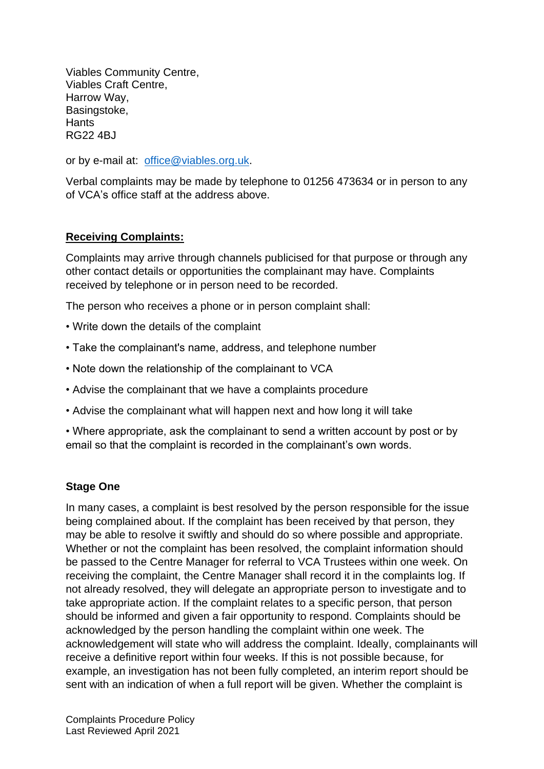Viables Community Centre, Viables Craft Centre, Harrow Way, Basingstoke, **Hants** RG22 4BJ

or by e-mail at: [office@viables.org.uk.](mailto:office@viables.org.uk)

Verbal complaints may be made by telephone to 01256 473634 or in person to any of VCA's office staff at the address above.

#### **Receiving Complaints:**

Complaints may arrive through channels publicised for that purpose or through any other contact details or opportunities the complainant may have. Complaints received by telephone or in person need to be recorded.

The person who receives a phone or in person complaint shall:

- Write down the details of the complaint
- Take the complainant's name, address, and telephone number
- Note down the relationship of the complainant to VCA
- Advise the complainant that we have a complaints procedure
- Advise the complainant what will happen next and how long it will take

• Where appropriate, ask the complainant to send a written account by post or by email so that the complaint is recorded in the complainant's own words.

#### **Stage One**

In many cases, a complaint is best resolved by the person responsible for the issue being complained about. If the complaint has been received by that person, they may be able to resolve it swiftly and should do so where possible and appropriate. Whether or not the complaint has been resolved, the complaint information should be passed to the Centre Manager for referral to VCA Trustees within one week. On receiving the complaint, the Centre Manager shall record it in the complaints log. If not already resolved, they will delegate an appropriate person to investigate and to take appropriate action. If the complaint relates to a specific person, that person should be informed and given a fair opportunity to respond. Complaints should be acknowledged by the person handling the complaint within one week. The acknowledgement will state who will address the complaint. Ideally, complainants will receive a definitive report within four weeks. If this is not possible because, for example, an investigation has not been fully completed, an interim report should be sent with an indication of when a full report will be given. Whether the complaint is

Complaints Procedure Policy Last Reviewed April 2021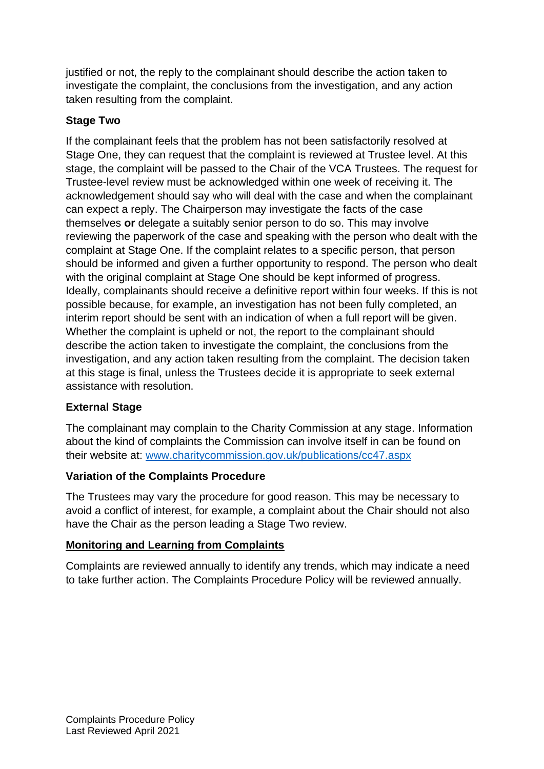justified or not, the reply to the complainant should describe the action taken to investigate the complaint, the conclusions from the investigation, and any action taken resulting from the complaint.

## **Stage Two**

If the complainant feels that the problem has not been satisfactorily resolved at Stage One, they can request that the complaint is reviewed at Trustee level. At this stage, the complaint will be passed to the Chair of the VCA Trustees. The request for Trustee-level review must be acknowledged within one week of receiving it. The acknowledgement should say who will deal with the case and when the complainant can expect a reply. The Chairperson may investigate the facts of the case themselves **or** delegate a suitably senior person to do so. This may involve reviewing the paperwork of the case and speaking with the person who dealt with the complaint at Stage One. If the complaint relates to a specific person, that person should be informed and given a further opportunity to respond. The person who dealt with the original complaint at Stage One should be kept informed of progress. Ideally, complainants should receive a definitive report within four weeks. If this is not possible because, for example, an investigation has not been fully completed, an interim report should be sent with an indication of when a full report will be given. Whether the complaint is upheld or not, the report to the complainant should describe the action taken to investigate the complaint, the conclusions from the investigation, and any action taken resulting from the complaint. The decision taken at this stage is final, unless the Trustees decide it is appropriate to seek external assistance with resolution.

# **External Stage**

The complainant may complain to the Charity Commission at any stage. Information about the kind of complaints the Commission can involve itself in can be found on their website at: [www.charitycommission.gov.uk/publications/cc47.aspx](http://www.charitycommission.gov.uk/publications/cc47.aspx)

#### **Variation of the Complaints Procedure**

The Trustees may vary the procedure for good reason. This may be necessary to avoid a conflict of interest, for example, a complaint about the Chair should not also have the Chair as the person leading a Stage Two review.

#### **Monitoring and Learning from Complaints**

Complaints are reviewed annually to identify any trends, which may indicate a need to take further action. The Complaints Procedure Policy will be reviewed annually.